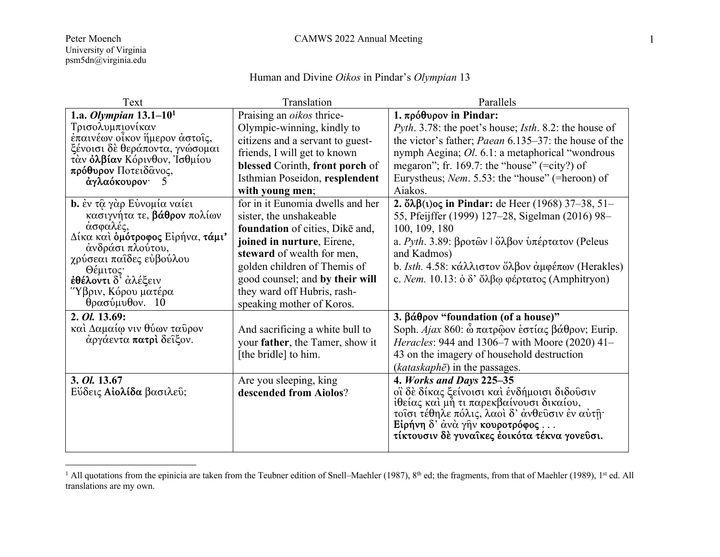## Human and Divine *Oikos* in Pindar's *Olympian* 13

| Text                                                                                                                                                                                                                                                      | Translation                                                                                                                                                                                                                                                                               | Parallels                                                                                                                                                                                                                                                                                                              |
|-----------------------------------------------------------------------------------------------------------------------------------------------------------------------------------------------------------------------------------------------------------|-------------------------------------------------------------------------------------------------------------------------------------------------------------------------------------------------------------------------------------------------------------------------------------------|------------------------------------------------------------------------------------------------------------------------------------------------------------------------------------------------------------------------------------------------------------------------------------------------------------------------|
| 1.a. Olympian $13.1 - 10^1$<br>Τρισολυμπιονίκαν<br>έπαινέων οἶκον ἥμερον ἀστοῖς,<br>ξένοισι δὲ θεράποντα, γνώσομαι<br>τὰν <b>ὀλβίαν</b> Κόρινθον, Ίσθμίου<br>πρόθυρον Ποτειδάνος,<br>άγλαόκουρον·<br>$\Delta$                                             | Praising an oikos thrice-<br>Olympic-winning, kindly to<br>citizens and a servant to guest-<br>friends, I will get to known<br>blessed Corinth, front porch of<br>Isthmian Poseidon, resplendent<br>with young men;                                                                       | 1. πρόθυρον in Pindar:<br>Pyth. 3.78: the poet's house; Isth. 8.2: the house of<br>the victor's father; <i>Paean</i> 6.135–37: the house of the<br>nymph Aegina; Ol. 6.1: a metaphorical "wondrous<br>megaron"; fr. 169.7: the "house" (=city?) of<br>Eurystheus; Nem. 5.53: the "house" (=heroon) of<br>Aiakos.       |
| <b>b.</b> ἐν τῷ γὰρ Εὐνομία ναίει<br>κασιγνήτα τε, βάθρον πολίων<br>άσφαλές,<br>Δίκα καὶ <b>ὁμότροφος</b> Εἰρήνα, <b>τάμι'</b><br>ανδράσι πλούτου,<br>χρύσεαι παΐδες εύβούλου<br>Θέμιτος·<br>έθέλοντι δ' άλέξειν<br>Ύβριν, Κόρου ματέρα<br>θρασύμυθον. 10 | for in it Eunomia dwells and her<br>sister, the unshakeable<br>foundation of cities, Dike and,<br>joined in nurture, Eirene,<br>steward of wealth for men,<br>golden children of Themis of<br>good counsel; and by their will<br>they ward off Hubris, rash-<br>speaking mother of Koros. | 2. $\delta \lambda \beta(\iota)$ oς in Pindar: de Heer (1968) 37–38, 51–<br>55, Pfeijffer (1999) 127–28, Sigelman (2016) 98–<br>100, 109, 180<br>a. Pyth. 3.89: βροτῶν Ι ὄλβον ὑπέρτατον (Peleus<br>and Kadmos)<br>b. Isth. 4.58: κάλλιστον ὄλβον ἀμφέπων (Herakles)<br>c. Nem. 10.13: ὁ δ' ὄλβω φέρτατος (Amphitryon) |
| 2. <i>Ol.</i> 13.69:<br>καὶ Δαμαίφ νιν θύων ταῦρον<br>άργάεντα πατρί δείξον.                                                                                                                                                                              | And sacrificing a white bull to<br>your father, the Tamer, show it<br>[the bridle] to him.                                                                                                                                                                                                | 3. βάθρον "foundation (of a house)"<br>Soph. Ajax 860: ὦ πατρώον εστίας βάθρον; Eurip.<br>Heracles: 944 and 1306-7 with Moore (2020) 41-<br>43 on the imagery of household destruction<br>$(kataskaph\bar{e})$ in the passages.                                                                                        |
| 3. Ol. 13.67<br>Εύδεις Αίολίδα βασιλεύ;                                                                                                                                                                                                                   | Are you sleeping, king<br>descended from Aiolos?                                                                                                                                                                                                                                          | 4. Works and Days 225-35<br>οϊ δε δίκας ξείνοισι και ενδήμοισι διδούσιν<br>ίθείας και μή τι παρεκβαίνουσι δικαίου,<br>τοΐσι τέθηλε πόλις, λαοί δ' άνθεύσιν έν αύτη·<br>Eίρήνη δ' άνὰ γῆν κουροτρόφος<br>τίκτουσιν δε γυναίκες έοικότα τέκνα γονεύσι.                                                                   |

<sup>&</sup>lt;sup>1</sup> All quotations from the epinicia are taken from the Teubner edition of Snell–Maehler (1987),  $8<sup>th</sup>$  ed; the fragments, from that of Maehler (1989), 1<sup>st</sup> ed. All translations are my own.